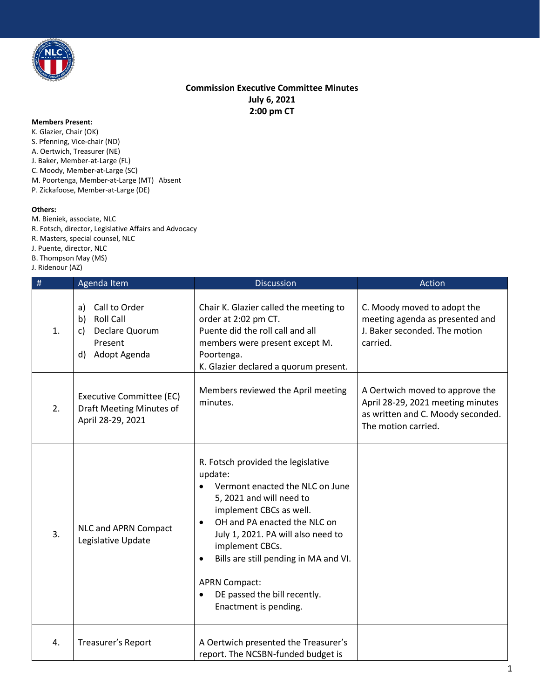

## **Commission Executive Committee Minutes July 6, 2021 2:00 pm CT**

## **Members Present:**

K. Glazier, Chair (OK) S. Pfenning, Vice-chair (ND) A. Oertwich, Treasurer (NE) J. Baker, Member-at-Large (FL) C. Moody, Member-at-Large (SC) M. Poortenga, Member-at-Large (MT) Absent P. Zickafoose, Member-at-Large (DE)

## **Others:**

M. Bieniek, associate, NLC R. Fotsch, director, Legislative Affairs and Advocacy R. Masters, special counsel, NLC J. Puente, director, NLC B. Thompson May (MS)

J. Ridenour (AZ)

| $\#$ | Agenda Item                                                                                            | <b>Discussion</b>                                                                                                                                                                                                                                                                                                                                                                                 | Action                                                                                                                           |
|------|--------------------------------------------------------------------------------------------------------|---------------------------------------------------------------------------------------------------------------------------------------------------------------------------------------------------------------------------------------------------------------------------------------------------------------------------------------------------------------------------------------------------|----------------------------------------------------------------------------------------------------------------------------------|
| 1.   | Call to Order<br>a)<br><b>Roll Call</b><br>b)<br>Declare Quorum<br>c)<br>Present<br>Adopt Agenda<br>d) | Chair K. Glazier called the meeting to<br>order at 2:02 pm CT.<br>Puente did the roll call and all<br>members were present except M.<br>Poortenga.<br>K. Glazier declared a quorum present.                                                                                                                                                                                                       | C. Moody moved to adopt the<br>meeting agenda as presented and<br>J. Baker seconded. The motion<br>carried.                      |
| 2.   | Executive Committee (EC)<br>Draft Meeting Minutes of<br>April 28-29, 2021                              | Members reviewed the April meeting<br>minutes.                                                                                                                                                                                                                                                                                                                                                    | A Oertwich moved to approve the<br>April 28-29, 2021 meeting minutes<br>as written and C. Moody seconded.<br>The motion carried. |
| 3.   | NLC and APRN Compact<br>Legislative Update                                                             | R. Fotsch provided the legislative<br>update:<br>Vermont enacted the NLC on June<br>5, 2021 and will need to<br>implement CBCs as well.<br>OH and PA enacted the NLC on<br>$\bullet$<br>July 1, 2021. PA will also need to<br>implement CBCs.<br>Bills are still pending in MA and VI.<br>$\bullet$<br><b>APRN Compact:</b><br>DE passed the bill recently.<br>$\bullet$<br>Enactment is pending. |                                                                                                                                  |
| 4.   | Treasurer's Report                                                                                     | A Oertwich presented the Treasurer's<br>report. The NCSBN-funded budget is                                                                                                                                                                                                                                                                                                                        |                                                                                                                                  |